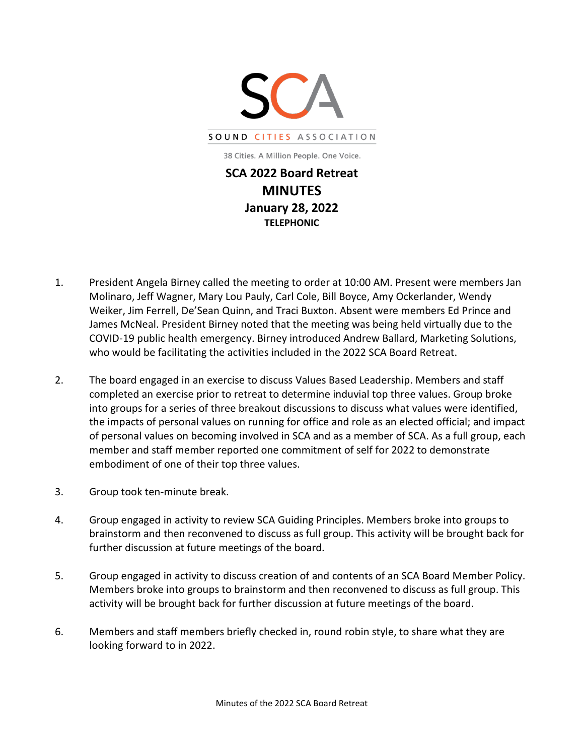

**MINUTES January 28, 2022 TELEPHONIC**

- 1. President Angela Birney called the meeting to order at 10:00 AM. Present were members Jan Molinaro, Jeff Wagner, Mary Lou Pauly, Carl Cole, Bill Boyce, Amy Ockerlander, Wendy Weiker, Jim Ferrell, De'Sean Quinn, and Traci Buxton. Absent were members Ed Prince and James McNeal. President Birney noted that the meeting was being held virtually due to the COVID-19 public health emergency. Birney introduced Andrew Ballard, Marketing Solutions, who would be facilitating the activities included in the 2022 SCA Board Retreat.
- 2. The board engaged in an exercise to discuss Values Based Leadership. Members and staff completed an exercise prior to retreat to determine induvial top three values. Group broke into groups for a series of three breakout discussions to discuss what values were identified, the impacts of personal values on running for office and role as an elected official; and impact of personal values on becoming involved in SCA and as a member of SCA. As a full group, each member and staff member reported one commitment of self for 2022 to demonstrate embodiment of one of their top three values.
- 3. Group took ten-minute break.
- 4. Group engaged in activity to review SCA Guiding Principles. Members broke into groups to brainstorm and then reconvened to discuss as full group. This activity will be brought back for further discussion at future meetings of the board.
- 5. Group engaged in activity to discuss creation of and contents of an SCA Board Member Policy. Members broke into groups to brainstorm and then reconvened to discuss as full group. This activity will be brought back for further discussion at future meetings of the board.
- 6. Members and staff members briefly checked in, round robin style, to share what they are looking forward to in 2022.